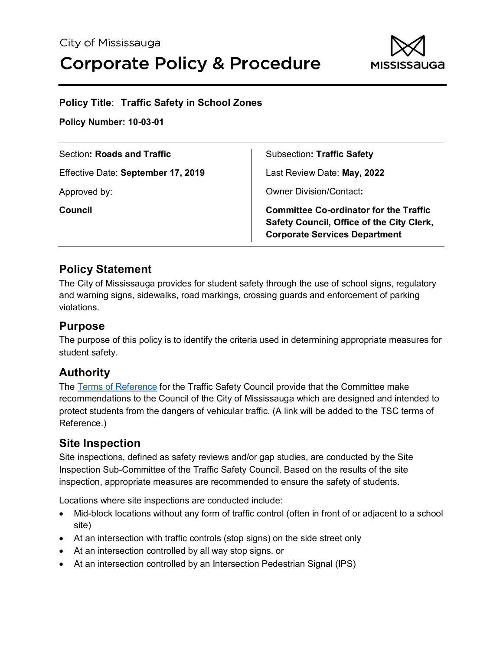

## **Policy Title**: **Traffic Safety in School Zones**

**Policy Number: 10-03-01**

| Section: Roads and Traffic         | <b>Subsection: Traffic Safety</b>                                                                                                  |
|------------------------------------|------------------------------------------------------------------------------------------------------------------------------------|
| Effective Date: September 17, 2019 | Last Review Date: May, 2022                                                                                                        |
| Approved by:                       | <b>Owner Division/Contact:</b>                                                                                                     |
| <b>Council</b>                     | <b>Committee Co-ordinator for the Traffic</b><br>Safety Council, Office of the City Clerk,<br><b>Corporate Services Department</b> |

## **Policy Statement**

The City of Mississauga provides for student safety through the use of school signs, regulatory and warning signs, sidewalks, road markings, crossing guards and enforcement of parking violations.

## **Purpose**

The purpose of this policy is to identify the criteria used in determining appropriate measures for student safety.

# **Authority**

The [Terms of Reference](http://www7.mississauga.ca/documents/committees/traffic/2018/TSC_terms_of_Reference.pdf) for the Traffic Safety Council provide that the Committee make recommendations to the Council of the City of Mississauga which are designed and intended to protect students from the dangers of vehicular traffic. (A link will be added to the TSC terms of Reference.)

# **Site Inspection**

Site inspections, defined as safety reviews and/or gap studies, are conducted by the Site Inspection Sub-Committee of the Traffic Safety Council. Based on the results of the site inspection, appropriate measures are recommended to ensure the safety of students.

Locations where site inspections are conducted include:

- Mid-block locations without any form of traffic control (often in front of or adjacent to a school site)
- At an intersection with traffic controls (stop signs) on the side street only
- At an intersection controlled by all way stop signs. or
- At an intersection controlled by an Intersection Pedestrian Signal (IPS)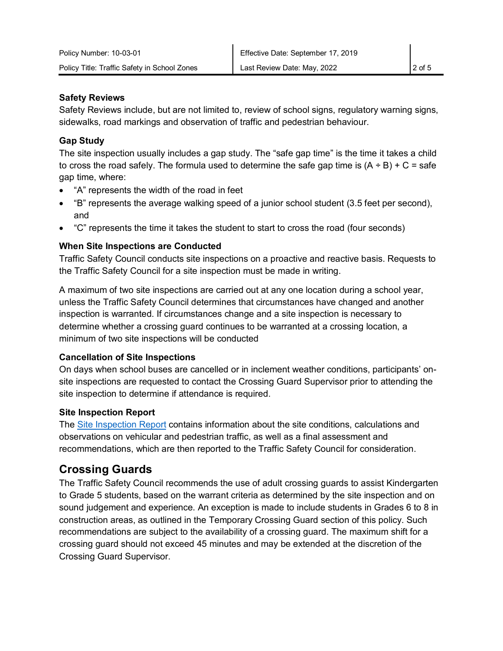## **Safety Reviews**

Safety Reviews include, but are not limited to, review of school signs, regulatory warning signs, sidewalks, road markings and observation of traffic and pedestrian behaviour.

## **Gap Study**

The site inspection usually includes a gap study. The "safe gap time" is the time it takes a child to cross the road safely. The formula used to determine the safe gap time is  $(A + B) + C =$  safe gap time, where:

- "A" represents the width of the road in feet
- "B" represents the average walking speed of a junior school student (3.5 feet per second), and
- "C" represents the time it takes the student to start to cross the road (four seconds)

## **When Site Inspections are Conducted**

Traffic Safety Council conducts site inspections on a proactive and reactive basis. Requests to the Traffic Safety Council for a site inspection must be made in writing.

A maximum of two site inspections are carried out at any one location during a school year, unless the Traffic Safety Council determines that circumstances have changed and another inspection is warranted. If circumstances change and a site inspection is necessary to determine whether a crossing guard continues to be warranted at a crossing location, a minimum of two site inspections will be conducted

## **Cancellation of Site Inspections**

On days when school buses are cancelled or in inclement weather conditions, participants' onsite inspections are requested to contact the Crossing Guard Supervisor prior to attending the site inspection to determine if attendance is required.

## **Site Inspection Report**

The [Site Inspection Report](http://www7.mississauga.ca/documents/committees/traffic/2018/site_inspection_report.pdf) contains information about the site conditions, calculations and observations on vehicular and pedestrian traffic, as well as a final assessment and recommendations, which are then reported to the Traffic Safety Council for consideration.

# **Crossing Guards**

The Traffic Safety Council recommends the use of adult crossing guards to assist Kindergarten to Grade 5 students, based on the warrant criteria as determined by the site inspection and on sound judgement and experience. An exception is made to include students in Grades 6 to 8 in construction areas, as outlined in the Temporary Crossing Guard section of this policy. Such recommendations are subject to the availability of a crossing guard. The maximum shift for a crossing guard should not exceed 45 minutes and may be extended at the discretion of the Crossing Guard Supervisor.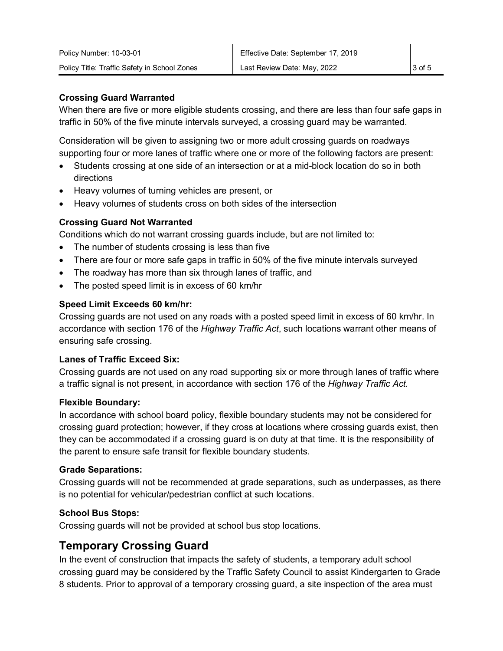#### **Crossing Guard Warranted**

When there are five or more eligible students crossing, and there are less than four safe gaps in traffic in 50% of the five minute intervals surveyed, a crossing guard may be warranted.

Consideration will be given to assigning two or more adult crossing guards on roadways supporting four or more lanes of traffic where one or more of the following factors are present:

- Students crossing at one side of an intersection or at a mid-block location do so in both directions
- Heavy volumes of turning vehicles are present, or
- Heavy volumes of students cross on both sides of the intersection

## **Crossing Guard Not Warranted**

Conditions which do not warrant crossing guards include, but are not limited to:

- The number of students crossing is less than five
- There are four or more safe gaps in traffic in 50% of the five minute intervals surveyed
- The roadway has more than six through lanes of traffic, and
- The posted speed limit is in excess of 60 km/hr

#### **Speed Limit Exceeds 60 km/hr:**

Crossing guards are not used on any roads with a posted speed limit in excess of 60 km/hr. In accordance with section 176 of the *Highway Traffic Act*, such locations warrant other means of ensuring safe crossing.

#### **Lanes of Traffic Exceed Six:**

Crossing guards are not used on any road supporting six or more through lanes of traffic where a traffic signal is not present, in accordance with section 176 of the *Highway Traffic Act.*

#### **Flexible Boundary:**

In accordance with school board policy, flexible boundary students may not be considered for crossing guard protection; however, if they cross at locations where crossing guards exist, then they can be accommodated if a crossing guard is on duty at that time. It is the responsibility of the parent to ensure safe transit for flexible boundary students.

#### **Grade Separations:**

Crossing guards will not be recommended at grade separations, such as underpasses, as there is no potential for vehicular/pedestrian conflict at such locations.

## **School Bus Stops:**

Crossing guards will not be provided at school bus stop locations.

# **Temporary Crossing Guard**

In the event of construction that impacts the safety of students, a temporary adult school crossing guard may be considered by the Traffic Safety Council to assist Kindergarten to Grade 8 students. Prior to approval of a temporary crossing guard, a site inspection of the area must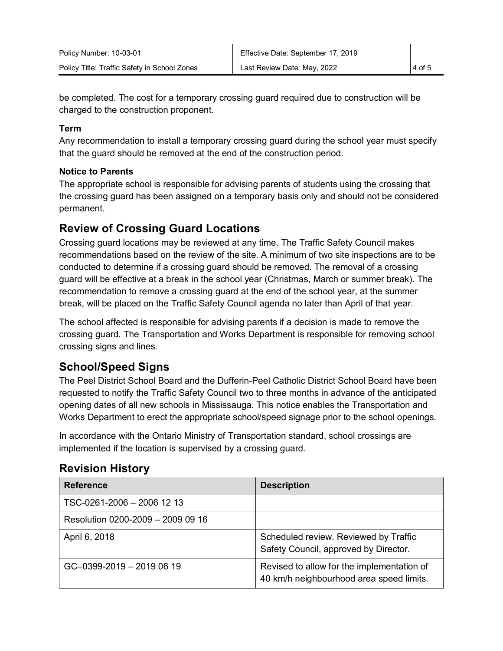be completed. The cost for a temporary crossing guard required due to construction will be charged to the construction proponent.

#### **Term**

Any recommendation to install a temporary crossing guard during the school year must specify that the guard should be removed at the end of the construction period.

## **Notice to Parents**

The appropriate school is responsible for advising parents of students using the crossing that the crossing guard has been assigned on a temporary basis only and should not be considered permanent.

## **Review of Crossing Guard Locations**

Crossing guard locations may be reviewed at any time. The Traffic Safety Council makes recommendations based on the review of the site. A minimum of two site inspections are to be conducted to determine if a crossing guard should be removed. The removal of a crossing guard will be effective at a break in the school year (Christmas, March or summer break). The recommendation to remove a crossing guard at the end of the school year, at the summer break, will be placed on the Traffic Safety Council agenda no later than April of that year.

The school affected is responsible for advising parents if a decision is made to remove the crossing guard. The Transportation and Works Department is responsible for removing school crossing signs and lines.

# **School/Speed Signs**

The Peel District School Board and the Dufferin-Peel Catholic District School Board have been requested to notify the Traffic Safety Council two to three months in advance of the anticipated opening dates of all new schools in Mississauga. This notice enables the Transportation and Works Department to erect the appropriate school/speed signage prior to the school openings.

In accordance with the Ontario Ministry of Transportation standard, school crossings are implemented if the location is supervised by a crossing guard.

| <b>Reference</b>                  | <b>Description</b>                                                                     |
|-----------------------------------|----------------------------------------------------------------------------------------|
| TSC-0261-2006 - 2006 12 13        |                                                                                        |
| Resolution 0200-2009 - 2009 09 16 |                                                                                        |
| April 6, 2018                     | Scheduled review. Reviewed by Traffic<br>Safety Council, approved by Director.         |
| GC-0399-2019 - 2019 06 19         | Revised to allow for the implementation of<br>40 km/h neighbourhood area speed limits. |

# **Revision History**